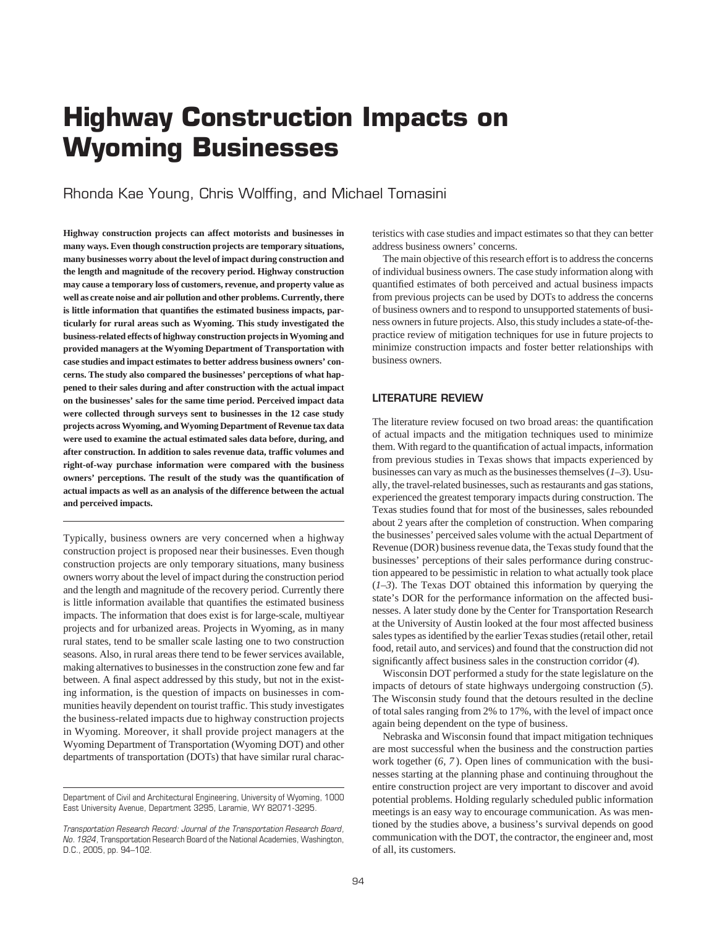# **Highway Construction Impacts on Wyoming Businesses**

Rhonda Kae Young, Chris Wolffing, and Michael Tomasini

**Highway construction projects can affect motorists and businesses in many ways. Even though construction projects are temporary situations, many businesses worry about the level of impact during construction and the length and magnitude of the recovery period. Highway construction may cause a temporary loss of customers, revenue, and property value as well as create noise and air pollution and other problems. Currently, there is little information that quantifies the estimated business impacts, particularly for rural areas such as Wyoming. This study investigated the business-related effects of highway construction projects in Wyoming and provided managers at the Wyoming Department of Transportation with case studies and impact estimates to better address business owners' concerns. The study also compared the businesses' perceptions of what happened to their sales during and after construction with the actual impact on the businesses' sales for the same time period. Perceived impact data were collected through surveys sent to businesses in the 12 case study projects across Wyoming, and Wyoming Department of Revenue tax data were used to examine the actual estimated sales data before, during, and after construction. In addition to sales revenue data, traffic volumes and right-of-way purchase information were compared with the business owners' perceptions. The result of the study was the quantification of actual impacts as well as an analysis of the difference between the actual and perceived impacts.**

Typically, business owners are very concerned when a highway construction project is proposed near their businesses. Even though construction projects are only temporary situations, many business owners worry about the level of impact during the construction period and the length and magnitude of the recovery period. Currently there is little information available that quantifies the estimated business impacts. The information that does exist is for large-scale, multiyear projects and for urbanized areas. Projects in Wyoming, as in many rural states, tend to be smaller scale lasting one to two construction seasons. Also, in rural areas there tend to be fewer services available, making alternatives to businesses in the construction zone few and far between. A final aspect addressed by this study, but not in the existing information, is the question of impacts on businesses in communities heavily dependent on tourist traffic. This study investigates the business-related impacts due to highway construction projects in Wyoming. Moreover, it shall provide project managers at the Wyoming Department of Transportation (Wyoming DOT) and other departments of transportation (DOTs) that have similar rural characteristics with case studies and impact estimates so that they can better address business owners' concerns.

The main objective of this research effort is to address the concerns of individual business owners. The case study information along with quantified estimates of both perceived and actual business impacts from previous projects can be used by DOTs to address the concerns of business owners and to respond to unsupported statements of business owners in future projects. Also, this study includes a state-of-thepractice review of mitigation techniques for use in future projects to minimize construction impacts and foster better relationships with business owners.

## **LITERATURE REVIEW**

The literature review focused on two broad areas: the quantification of actual impacts and the mitigation techniques used to minimize them. With regard to the quantification of actual impacts, information from previous studies in Texas shows that impacts experienced by businesses can vary as much as the businesses themselves (*1–3*). Usually, the travel-related businesses, such as restaurants and gas stations, experienced the greatest temporary impacts during construction. The Texas studies found that for most of the businesses, sales rebounded about 2 years after the completion of construction. When comparing the businesses' perceived sales volume with the actual Department of Revenue (DOR) business revenue data, the Texas study found that the businesses' perceptions of their sales performance during construction appeared to be pessimistic in relation to what actually took place (*1–3*). The Texas DOT obtained this information by querying the state's DOR for the performance information on the affected businesses. A later study done by the Center for Transportation Research at the University of Austin looked at the four most affected business sales types as identified by the earlier Texas studies (retail other, retail food, retail auto, and services) and found that the construction did not significantly affect business sales in the construction corridor (*4*).

Wisconsin DOT performed a study for the state legislature on the impacts of detours of state highways undergoing construction (*5*). The Wisconsin study found that the detours resulted in the decline of total sales ranging from 2% to 17%, with the level of impact once again being dependent on the type of business.

Nebraska and Wisconsin found that impact mitigation techniques are most successful when the business and the construction parties work together (*6, 7* ). Open lines of communication with the businesses starting at the planning phase and continuing throughout the entire construction project are very important to discover and avoid potential problems. Holding regularly scheduled public information meetings is an easy way to encourage communication. As was mentioned by the studies above, a business's survival depends on good communication with the DOT, the contractor, the engineer and, most of all, its customers.

Department of Civil and Architectural Engineering, University of Wyoming, 1000 East University Avenue, Department 3295, Laramie, WY 82071-3295.

*Transportation Research Record: Journal of the Transportation Research Board, No. 1924,* Transportation Research Board of the National Academies, Washington, D.C., 2005, pp. 94–102.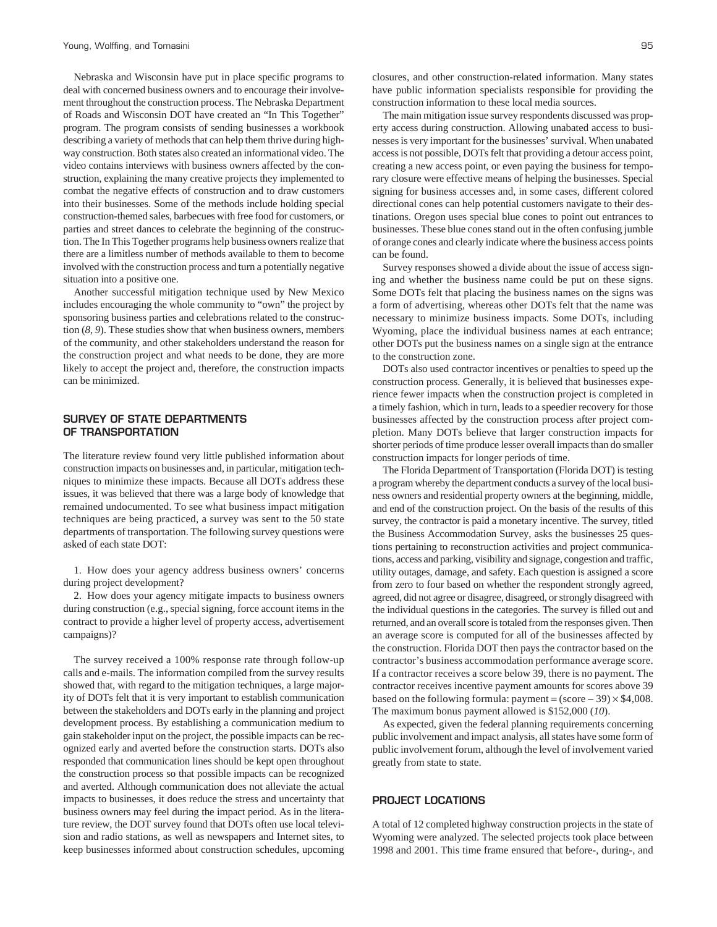Nebraska and Wisconsin have put in place specific programs to deal with concerned business owners and to encourage their involvement throughout the construction process. The Nebraska Department of Roads and Wisconsin DOT have created an "In This Together" program. The program consists of sending businesses a workbook describing a variety of methods that can help them thrive during highway construction. Both states also created an informational video. The video contains interviews with business owners affected by the construction, explaining the many creative projects they implemented to combat the negative effects of construction and to draw customers into their businesses. Some of the methods include holding special construction-themed sales, barbecues with free food for customers, or parties and street dances to celebrate the beginning of the construction. The In This Together programs help business owners realize that there are a limitless number of methods available to them to become involved with the construction process and turn a potentially negative situation into a positive one.

Another successful mitigation technique used by New Mexico includes encouraging the whole community to "own" the project by sponsoring business parties and celebrations related to the construction (*8, 9*). These studies show that when business owners, members of the community, and other stakeholders understand the reason for the construction project and what needs to be done, they are more likely to accept the project and, therefore, the construction impacts can be minimized.

# **SURVEY OF STATE DEPARTMENTS OF TRANSPORTATION**

The literature review found very little published information about construction impacts on businesses and, in particular, mitigation techniques to minimize these impacts. Because all DOTs address these issues, it was believed that there was a large body of knowledge that remained undocumented. To see what business impact mitigation techniques are being practiced, a survey was sent to the 50 state departments of transportation. The following survey questions were asked of each state DOT:

1. How does your agency address business owners' concerns during project development?

2. How does your agency mitigate impacts to business owners during construction (e.g., special signing, force account items in the contract to provide a higher level of property access, advertisement campaigns)?

The survey received a 100% response rate through follow-up calls and e-mails. The information compiled from the survey results showed that, with regard to the mitigation techniques, a large majority of DOTs felt that it is very important to establish communication between the stakeholders and DOTs early in the planning and project development process. By establishing a communication medium to gain stakeholder input on the project, the possible impacts can be recognized early and averted before the construction starts. DOTs also responded that communication lines should be kept open throughout the construction process so that possible impacts can be recognized and averted. Although communication does not alleviate the actual impacts to businesses, it does reduce the stress and uncertainty that business owners may feel during the impact period. As in the literature review, the DOT survey found that DOTs often use local television and radio stations, as well as newspapers and Internet sites, to keep businesses informed about construction schedules, upcoming closures, and other construction-related information. Many states have public information specialists responsible for providing the construction information to these local media sources.

The main mitigation issue survey respondents discussed was property access during construction. Allowing unabated access to businesses is very important for the businesses' survival. When unabated access is not possible, DOTs felt that providing a detour access point, creating a new access point, or even paying the business for temporary closure were effective means of helping the businesses. Special signing for business accesses and, in some cases, different colored directional cones can help potential customers navigate to their destinations. Oregon uses special blue cones to point out entrances to businesses. These blue cones stand out in the often confusing jumble of orange cones and clearly indicate where the business access points can be found.

Survey responses showed a divide about the issue of access signing and whether the business name could be put on these signs. Some DOTs felt that placing the business names on the signs was a form of advertising, whereas other DOTs felt that the name was necessary to minimize business impacts. Some DOTs, including Wyoming, place the individual business names at each entrance; other DOTs put the business names on a single sign at the entrance to the construction zone.

DOTs also used contractor incentives or penalties to speed up the construction process. Generally, it is believed that businesses experience fewer impacts when the construction project is completed in a timely fashion, which in turn, leads to a speedier recovery for those businesses affected by the construction process after project completion. Many DOTs believe that larger construction impacts for shorter periods of time produce lesser overall impacts than do smaller construction impacts for longer periods of time.

The Florida Department of Transportation (Florida DOT) is testing a program whereby the department conducts a survey of the local business owners and residential property owners at the beginning, middle, and end of the construction project. On the basis of the results of this survey, the contractor is paid a monetary incentive. The survey, titled the Business Accommodation Survey, asks the businesses 25 questions pertaining to reconstruction activities and project communications, access and parking, visibility and signage, congestion and traffic, utility outages, damage, and safety. Each question is assigned a score from zero to four based on whether the respondent strongly agreed, agreed, did not agree or disagree, disagreed, or strongly disagreed with the individual questions in the categories. The survey is filled out and returned, and an overall score is totaled from the responses given. Then an average score is computed for all of the businesses affected by the construction. Florida DOT then pays the contractor based on the contractor's business accommodation performance average score. If a contractor receives a score below 39, there is no payment. The contractor receives incentive payment amounts for scores above 39 based on the following formula: payment =  $(\text{score} - 39) \times $4,008$ . The maximum bonus payment allowed is \$152,000 (*10*).

As expected, given the federal planning requirements concerning public involvement and impact analysis, all states have some form of public involvement forum, although the level of involvement varied greatly from state to state.

## **PROJECT LOCATIONS**

A total of 12 completed highway construction projects in the state of Wyoming were analyzed. The selected projects took place between 1998 and 2001. This time frame ensured that before-, during-, and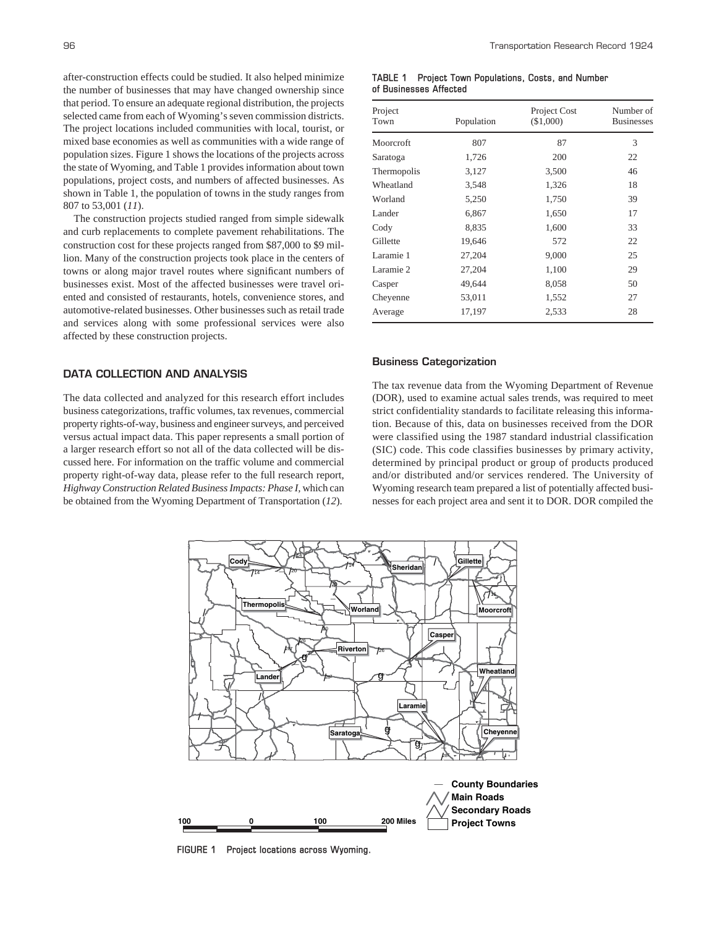after-construction effects could be studied. It also helped minimize the number of businesses that may have changed ownership since that period. To ensure an adequate regional distribution, the projects selected came from each of Wyoming's seven commission districts. The project locations included communities with local, tourist, or mixed base economies as well as communities with a wide range of population sizes. Figure 1 shows the locations of the projects across the state of Wyoming, and Table 1 provides information about town populations, project costs, and numbers of affected businesses. As shown in Table 1, the population of towns in the study ranges from 807 to 53,001 (*11*).

The construction projects studied ranged from simple sidewalk and curb replacements to complete pavement rehabilitations. The construction cost for these projects ranged from \$87,000 to \$9 million. Many of the construction projects took place in the centers of towns or along major travel routes where significant numbers of businesses exist. Most of the affected businesses were travel oriented and consisted of restaurants, hotels, convenience stores, and automotive-related businesses. Other businesses such as retail trade and services along with some professional services were also affected by these construction projects.

# **DATA COLLECTION AND ANALYSIS**

The data collected and analyzed for this research effort includes business categorizations, traffic volumes, tax revenues, commercial property rights-of-way, business and engineer surveys, and perceived versus actual impact data. This paper represents a small portion of a larger research effort so not all of the data collected will be discussed here. For information on the traffic volume and commercial property right-of-way data, please refer to the full research report, *Highway Construction Related Business Impacts: Phase I,* which can be obtained from the Wyoming Department of Transportation (*12*).

| TABLE 1 | Project Town Populations, Costs, and Number |  |  |
|---------|---------------------------------------------|--|--|
|         | of Businesses Affected                      |  |  |

| Project<br>Town | Population | Project Cost<br>(\$1,000) | Number of<br><b>Businesses</b> |
|-----------------|------------|---------------------------|--------------------------------|
| Moorcroft       | 807        | 87                        | 3                              |
| Saratoga        | 1,726      | 200                       | 22                             |
| Thermopolis     | 3,127      | 3,500                     | 46                             |
| Wheatland       | 3,548      | 1,326                     | 18                             |
| Worland         | 5,250      | 1,750                     | 39                             |
| Lander          | 6,867      | 1,650                     | 17                             |
| Cody            | 8,835      | 1,600                     | 33                             |
| Gillette        | 19,646     | 572                       | 22                             |
| Laramie 1       | 27,204     | 9,000                     | 25                             |
| Laramie 2       | 27,204     | 1,100                     | 29                             |
| Casper          | 49,644     | 8,058                     | 50                             |
| Chevenne        | 53,011     | 1,552                     | 27                             |
| Average         | 17,197     | 2,533                     | 28                             |

#### **Business Categorization**

The tax revenue data from the Wyoming Department of Revenue (DOR), used to examine actual sales trends, was required to meet strict confidentiality standards to facilitate releasing this information. Because of this, data on businesses received from the DOR were classified using the 1987 standard industrial classification (SIC) code. This code classifies businesses by primary activity, determined by principal product or group of products produced and/or distributed and/or services rendered. The University of Wyoming research team prepared a list of potentially affected businesses for each project area and sent it to DOR. DOR compiled the



**FIGURE 1 Project locations across Wyoming.**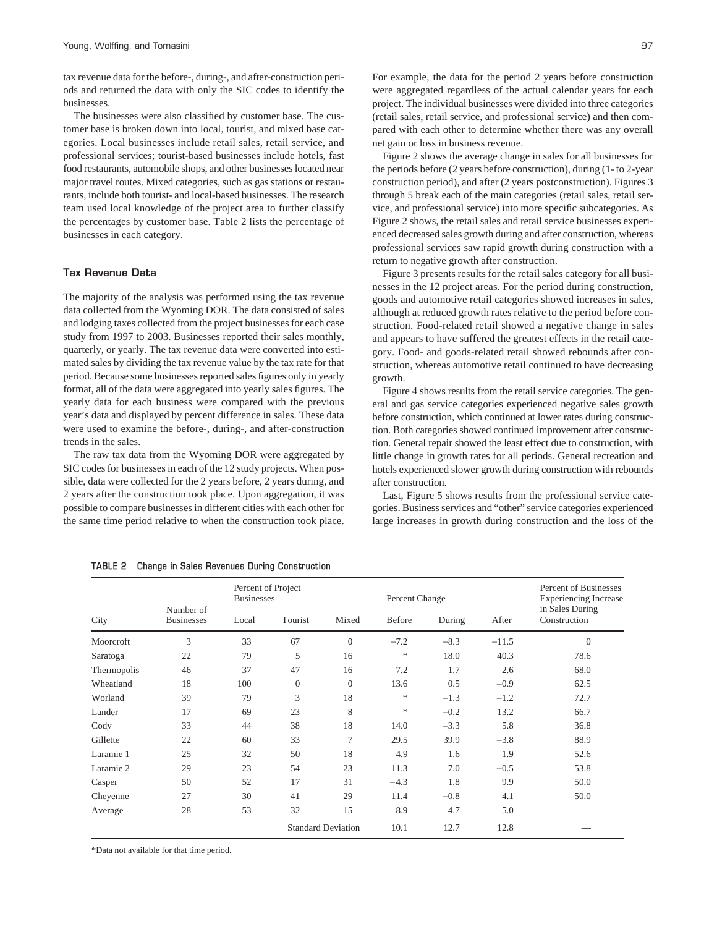tax revenue data for the before-, during-, and after-construction periods and returned the data with only the SIC codes to identify the businesses.

The businesses were also classified by customer base. The customer base is broken down into local, tourist, and mixed base categories. Local businesses include retail sales, retail service, and professional services; tourist-based businesses include hotels, fast food restaurants, automobile shops, and other businesses located near major travel routes. Mixed categories, such as gas stations or restaurants, include both tourist- and local-based businesses. The research team used local knowledge of the project area to further classify the percentages by customer base. Table 2 lists the percentage of businesses in each category.

## **Tax Revenue Data**

The majority of the analysis was performed using the tax revenue data collected from the Wyoming DOR. The data consisted of sales and lodging taxes collected from the project businesses for each case study from 1997 to 2003. Businesses reported their sales monthly, quarterly, or yearly. The tax revenue data were converted into estimated sales by dividing the tax revenue value by the tax rate for that period. Because some businesses reported sales figures only in yearly format, all of the data were aggregated into yearly sales figures. The yearly data for each business were compared with the previous year's data and displayed by percent difference in sales. These data were used to examine the before-, during-, and after-construction trends in the sales.

The raw tax data from the Wyoming DOR were aggregated by SIC codes for businesses in each of the 12 study projects. When possible, data were collected for the 2 years before, 2 years during, and 2 years after the construction took place. Upon aggregation, it was possible to compare businesses in different cities with each other for the same time period relative to when the construction took place. For example, the data for the period 2 years before construction were aggregated regardless of the actual calendar years for each project. The individual businesses were divided into three categories (retail sales, retail service, and professional service) and then compared with each other to determine whether there was any overall net gain or loss in business revenue.

Figure 2 shows the average change in sales for all businesses for the periods before (2 years before construction), during (1- to 2-year construction period), and after (2 years postconstruction). Figures 3 through 5 break each of the main categories (retail sales, retail service, and professional service) into more specific subcategories. As Figure 2 shows, the retail sales and retail service businesses experienced decreased sales growth during and after construction, whereas professional services saw rapid growth during construction with a return to negative growth after construction.

Figure 3 presents results for the retail sales category for all businesses in the 12 project areas. For the period during construction, goods and automotive retail categories showed increases in sales, although at reduced growth rates relative to the period before construction. Food-related retail showed a negative change in sales and appears to have suffered the greatest effects in the retail category. Food- and goods-related retail showed rebounds after construction, whereas automotive retail continued to have decreasing growth.

Figure 4 shows results from the retail service categories. The general and gas service categories experienced negative sales growth before construction, which continued at lower rates during construction. Both categories showed continued improvement after construction. General repair showed the least effect due to construction, with little change in growth rates for all periods. General recreation and hotels experienced slower growth during construction with rebounds after construction.

Last, Figure 5 shows results from the professional service categories. Business services and "other" service categories experienced large increases in growth during construction and the loss of the

|             | Number of<br><b>Businesses</b> | Percent of Project<br><b>Businesses</b> |              | Percent Change            |        |        | <b>Percent of Businesses</b><br><b>Experiencing Increase</b> |                                 |
|-------------|--------------------------------|-----------------------------------------|--------------|---------------------------|--------|--------|--------------------------------------------------------------|---------------------------------|
| City        |                                | Local                                   | Tourist      | Mixed                     | Before | During | After                                                        | in Sales During<br>Construction |
| Moorcroft   | 3                              | 33                                      | 67           | $\boldsymbol{0}$          | $-7.2$ | $-8.3$ | $-11.5$                                                      | $\boldsymbol{0}$                |
| Saratoga    | 22                             | 79                                      | 5            | 16                        | $\ast$ | 18.0   | 40.3                                                         | 78.6                            |
| Thermopolis | 46                             | 37                                      | 47           | 16                        | 7.2    | 1.7    | 2.6                                                          | 68.0                            |
| Wheatland   | 18                             | 100                                     | $\mathbf{0}$ | $\theta$                  | 13.6   | 0.5    | $-0.9$                                                       | 62.5                            |
| Worland     | 39                             | 79                                      | 3            | 18                        | *      | $-1.3$ | $-1.2$                                                       | 72.7                            |
| Lander      | 17                             | 69                                      | 23           | 8                         | *      | $-0.2$ | 13.2                                                         | 66.7                            |
| Cody        | 33                             | 44                                      | 38           | 18                        | 14.0   | $-3.3$ | 5.8                                                          | 36.8                            |
| Gillette    | 22                             | 60                                      | 33           | $\overline{7}$            | 29.5   | 39.9   | $-3.8$                                                       | 88.9                            |
| Laramie 1   | 25                             | 32                                      | 50           | 18                        | 4.9    | 1.6    | 1.9                                                          | 52.6                            |
| Laramie 2   | 29                             | 23                                      | 54           | 23                        | 11.3   | 7.0    | $-0.5$                                                       | 53.8                            |
| Casper      | 50                             | 52                                      | 17           | 31                        | $-4.3$ | 1.8    | 9.9                                                          | 50.0                            |
| Cheyenne    | 27                             | 30                                      | 41           | 29                        | 11.4   | $-0.8$ | 4.1                                                          | 50.0                            |
| Average     | 28                             | 53                                      | 32           | 15                        | 8.9    | 4.7    | 5.0                                                          |                                 |
|             |                                |                                         |              | <b>Standard Deviation</b> | 10.1   | 12.7   | 12.8                                                         |                                 |

**TABLE 2 Change in Sales Revenues During Construction**

\*Data not available for that time period.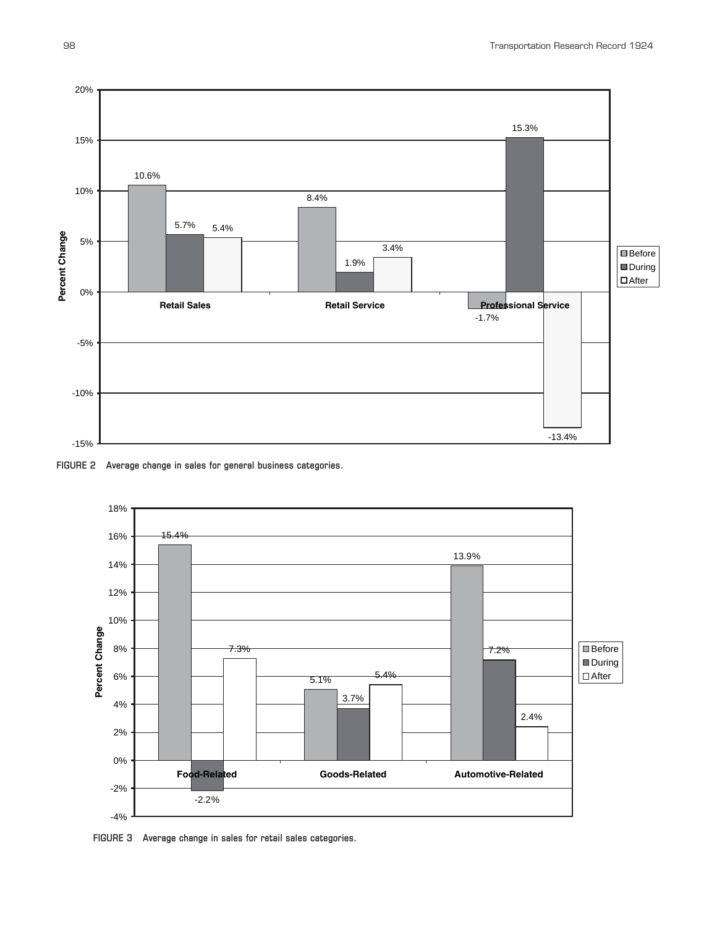

**FIGURE 2 Average change in sales for general business categories.**



**FIGURE 3 Average change in sales for retail sales categories.**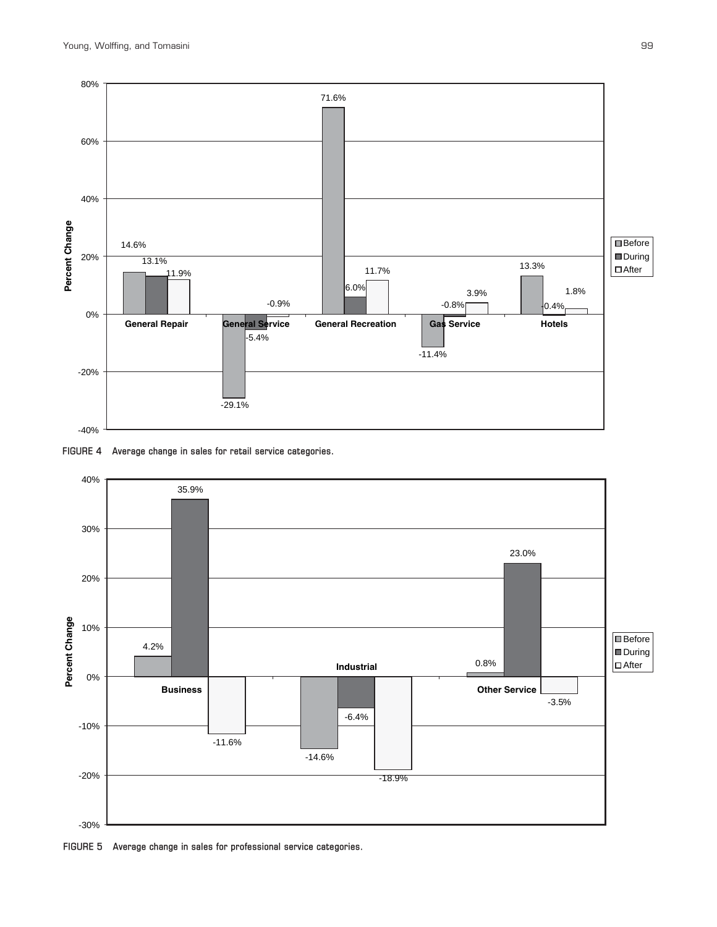





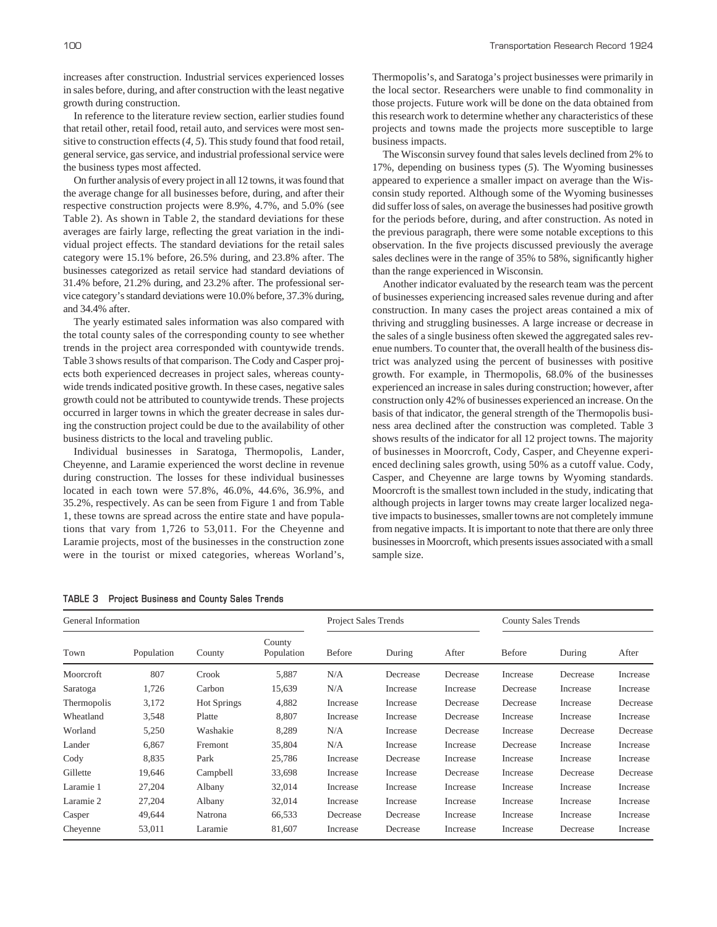increases after construction. Industrial services experienced losses in sales before, during, and after construction with the least negative growth during construction.

In reference to the literature review section, earlier studies found that retail other, retail food, retail auto, and services were most sensitive to construction effects (*4, 5*). This study found that food retail, general service, gas service, and industrial professional service were the business types most affected.

On further analysis of every project in all 12 towns, it was found that the average change for all businesses before, during, and after their respective construction projects were 8.9%, 4.7%, and 5.0% (see Table 2). As shown in Table 2, the standard deviations for these averages are fairly large, reflecting the great variation in the individual project effects. The standard deviations for the retail sales category were 15.1% before, 26.5% during, and 23.8% after. The businesses categorized as retail service had standard deviations of 31.4% before, 21.2% during, and 23.2% after. The professional service category's standard deviations were 10.0% before, 37.3% during, and 34.4% after.

The yearly estimated sales information was also compared with the total county sales of the corresponding county to see whether trends in the project area corresponded with countywide trends. Table 3 shows results of that comparison. The Cody and Casper projects both experienced decreases in project sales, whereas countywide trends indicated positive growth. In these cases, negative sales growth could not be attributed to countywide trends. These projects occurred in larger towns in which the greater decrease in sales during the construction project could be due to the availability of other business districts to the local and traveling public.

Individual businesses in Saratoga, Thermopolis, Lander, Cheyenne, and Laramie experienced the worst decline in revenue during construction. The losses for these individual businesses located in each town were 57.8%, 46.0%, 44.6%, 36.9%, and 35.2%, respectively. As can be seen from Figure 1 and from Table 1, these towns are spread across the entire state and have populations that vary from 1,726 to 53,011. For the Cheyenne and Laramie projects, most of the businesses in the construction zone were in the tourist or mixed categories, whereas Worland's, Thermopolis's, and Saratoga's project businesses were primarily in the local sector. Researchers were unable to find commonality in those projects. Future work will be done on the data obtained from this research work to determine whether any characteristics of these projects and towns made the projects more susceptible to large business impacts.

The Wisconsin survey found that sales levels declined from 2% to 17%, depending on business types (*5*). The Wyoming businesses appeared to experience a smaller impact on average than the Wisconsin study reported. Although some of the Wyoming businesses did suffer loss of sales, on average the businesses had positive growth for the periods before, during, and after construction. As noted in the previous paragraph, there were some notable exceptions to this observation. In the five projects discussed previously the average sales declines were in the range of 35% to 58%, significantly higher than the range experienced in Wisconsin.

Another indicator evaluated by the research team was the percent of businesses experiencing increased sales revenue during and after construction. In many cases the project areas contained a mix of thriving and struggling businesses. A large increase or decrease in the sales of a single business often skewed the aggregated sales revenue numbers. To counter that, the overall health of the business district was analyzed using the percent of businesses with positive growth. For example, in Thermopolis, 68.0% of the businesses experienced an increase in sales during construction; however, after construction only 42% of businesses experienced an increase. On the basis of that indicator, the general strength of the Thermopolis business area declined after the construction was completed. Table 3 shows results of the indicator for all 12 project towns. The majority of businesses in Moorcroft, Cody, Casper, and Cheyenne experienced declining sales growth, using 50% as a cutoff value. Cody, Casper, and Cheyenne are large towns by Wyoming standards. Moorcroft is the smallest town included in the study, indicating that although projects in larger towns may create larger localized negative impacts to businesses, smaller towns are not completely immune from negative impacts. It is important to note that there are only three businesses in Moorcroft, which presents issues associated with a small sample size.

| General Information |            |                    |                      | Project Sales Trends |          |          | <b>County Sales Trends</b> |          |          |
|---------------------|------------|--------------------|----------------------|----------------------|----------|----------|----------------------------|----------|----------|
| Town                | Population | County             | County<br>Population | <b>Before</b>        | During   | After    | Before                     | During   | After    |
| Moorcroft           | 807        | Crook              | 5,887                | N/A                  | Decrease | Decrease | Increase                   | Decrease | Increase |
| Saratoga            | 1,726      | Carbon             | 15,639               | N/A                  | Increase | Increase | Decrease                   | Increase | Increase |
| Thermopolis         | 3,172      | <b>Hot Springs</b> | 4,882                | Increase             | Increase | Decrease | Decrease                   | Increase | Decrease |
| Wheatland           | 3,548      | Platte             | 8,807                | Increase             | Increase | Decrease | Increase                   | Increase | Increase |
| Worland             | 5,250      | Washakie           | 8,289                | N/A                  | Increase | Decrease | Increase                   | Decrease | Decrease |
| Lander              | 6,867      | Fremont            | 35,804               | N/A                  | Increase | Increase | Decrease                   | Increase | Increase |
| Cody                | 8,835      | Park               | 25,786               | Increase             | Decrease | Increase | Increase                   | Increase | Increase |
| Gillette            | 19,646     | Campbell           | 33,698               | Increase             | Increase | Decrease | Increase                   | Decrease | Decrease |
| Laramie 1           | 27,204     | Albany             | 32,014               | Increase             | Increase | Increase | Increase                   | Increase | Increase |
| Laramie 2           | 27,204     | Albany             | 32,014               | Increase             | Increase | Increase | Increase                   | Increase | Increase |
| Casper              | 49,644     | Natrona            | 66,533               | Decrease             | Decrease | Increase | Increase                   | Increase | Increase |
| Chevenne            | 53,011     | Laramie            | 81,607               | Increase             | Decrease | Increase | Increase                   | Decrease | Increase |

#### **TABLE 3 Project Business and County Sales Trends**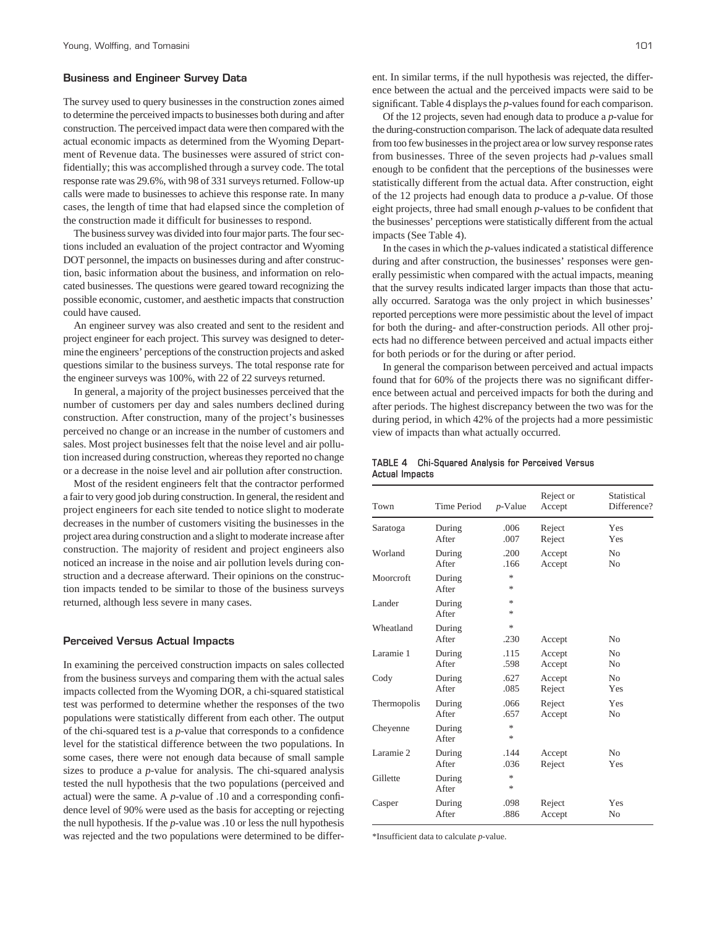## **Business and Engineer Survey Data**

The survey used to query businesses in the construction zones aimed to determine the perceived impacts to businesses both during and after construction. The perceived impact data were then compared with the actual economic impacts as determined from the Wyoming Department of Revenue data. The businesses were assured of strict confidentially; this was accomplished through a survey code. The total response rate was 29.6%, with 98 of 331 surveys returned. Follow-up calls were made to businesses to achieve this response rate. In many cases, the length of time that had elapsed since the completion of the construction made it difficult for businesses to respond.

The business survey was divided into four major parts. The four sections included an evaluation of the project contractor and Wyoming DOT personnel, the impacts on businesses during and after construction, basic information about the business, and information on relocated businesses. The questions were geared toward recognizing the possible economic, customer, and aesthetic impacts that construction could have caused.

An engineer survey was also created and sent to the resident and project engineer for each project. This survey was designed to determine the engineers' perceptions of the construction projects and asked questions similar to the business surveys. The total response rate for the engineer surveys was 100%, with 22 of 22 surveys returned.

In general, a majority of the project businesses perceived that the number of customers per day and sales numbers declined during construction. After construction, many of the project's businesses perceived no change or an increase in the number of customers and sales. Most project businesses felt that the noise level and air pollution increased during construction, whereas they reported no change or a decrease in the noise level and air pollution after construction.

Most of the resident engineers felt that the contractor performed a fair to very good job during construction. In general, the resident and project engineers for each site tended to notice slight to moderate decreases in the number of customers visiting the businesses in the project area during construction and a slight to moderate increase after construction. The majority of resident and project engineers also noticed an increase in the noise and air pollution levels during construction and a decrease afterward. Their opinions on the construction impacts tended to be similar to those of the business surveys returned, although less severe in many cases.

#### **Perceived Versus Actual Impacts**

In examining the perceived construction impacts on sales collected from the business surveys and comparing them with the actual sales impacts collected from the Wyoming DOR, a chi-squared statistical test was performed to determine whether the responses of the two populations were statistically different from each other. The output of the chi-squared test is a *p*-value that corresponds to a confidence level for the statistical difference between the two populations. In some cases, there were not enough data because of small sample sizes to produce a *p*-value for analysis. The chi-squared analysis tested the null hypothesis that the two populations (perceived and actual) were the same. A *p*-value of .10 and a corresponding confidence level of 90% were used as the basis for accepting or rejecting the null hypothesis. If the *p*-value was .10 or less the null hypothesis was rejected and the two populations were determined to be different. In similar terms, if the null hypothesis was rejected, the difference between the actual and the perceived impacts were said to be significant. Table 4 displays the *p*-values found for each comparison.

Of the 12 projects, seven had enough data to produce a *p*-value for the during-construction comparison. The lack of adequate data resulted from too few businesses in the project area or low survey response rates from businesses. Three of the seven projects had *p*-values small enough to be confident that the perceptions of the businesses were statistically different from the actual data. After construction, eight of the 12 projects had enough data to produce a *p*-value. Of those eight projects, three had small enough *p*-values to be confident that the businesses' perceptions were statistically different from the actual impacts (See Table 4).

In the cases in which the *p*-values indicated a statistical difference during and after construction, the businesses' responses were generally pessimistic when compared with the actual impacts, meaning that the survey results indicated larger impacts than those that actually occurred. Saratoga was the only project in which businesses' reported perceptions were more pessimistic about the level of impact for both the during- and after-construction periods. All other projects had no difference between perceived and actual impacts either for both periods or for the during or after period.

In general the comparison between perceived and actual impacts found that for 60% of the projects there was no significant difference between actual and perceived impacts for both the during and after periods. The highest discrepancy between the two was for the during period, in which 42% of the projects had a more pessimistic view of impacts than what actually occurred.

## **TABLE 4 Chi-Squared Analysis for Perceived Versus Actual Impacts**

| Town        | Time Period     | $p$ -Value | Reject or<br>Accept | Statistical<br>Difference? |
|-------------|-----------------|------------|---------------------|----------------------------|
| Saratoga    | During          | .006       | Reject              | Yes                        |
|             | After           | .007       | Reject              | Yes                        |
| Worland     | During          | .200       | Accept              | N <sub>0</sub>             |
|             | After           | .166       | Accept              | N <sub>0</sub>             |
| Moorcroft   | During<br>After | 永<br>*     |                     |                            |
| Lander      | During<br>After | *<br>*     |                     |                            |
| Wheatland   | During<br>After | 永<br>.230  | Accept              | N <sub>0</sub>             |
| Laramie 1   | During          | .115       | Accept              | N <sub>0</sub>             |
|             | After           | .598       | Accept              | N <sub>0</sub>             |
| Cody        | During          | .627       | Accept              | No                         |
|             | After           | .085       | Reject              | Yes                        |
| Thermopolis | During          | .066       | Reject              | Yes                        |
|             | After           | .657       | Accept              | N <sub>0</sub>             |
| Cheyenne    | During<br>After | 水<br>*     |                     |                            |
| Laramie 2   | During          | .144       | Accept              | N <sub>0</sub>             |
|             | After           | .036       | Reject              | Yes                        |
| Gillette    | During<br>After | 水<br>*     |                     |                            |
| Casper      | During          | .098       | Reject              | Yes                        |
|             | After           | .886       | Accept              | No                         |

\*Insufficient data to calculate *p*-value.